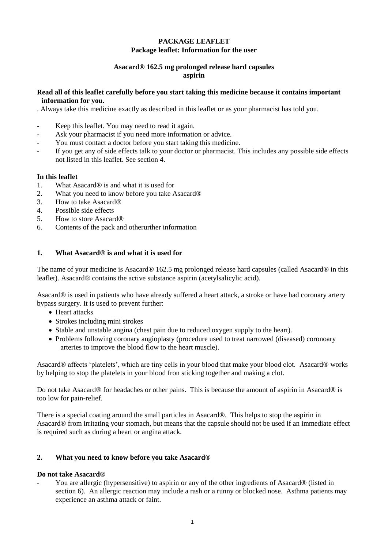## **PACKAGE LEAFLET Package leaflet: Information for the user**

#### **Asacard® 162.5 mg prolonged release hard capsules aspirin**

#### **Read all of this leaflet carefully before you start taking this medicine because it contains important information for you.**

. Always take this medicine exactly as described in this leaflet or as your pharmacist has told you.

- Keep this leaflet. You may need to read it again.
- Ask your pharmacist if you need more information or advice.
- You must contact a doctor before you start taking this medicine.
- If you get any of side effects talk to your doctor or pharmacist. This includes any possible side effects not listed in this leaflet. See section 4.

## **In this leaflet**

- 1. What Asacard® is and what it is used for
- 2. What you need to know before you take Asacard®
- 3. How to take Asacard®
- 4. Possible side effects
- 5. How to store Asacard®
- 6. Contents of the pack and otherurther information

## **1. What Asacard® is and what it is used for**

The name of your medicine is Asacard® 162.5 mg prolonged release hard capsules (called Asacard® in this leaflet). Asacard® contains the active substance aspirin (acetylsalicylic acid).

Asacard® is used in patients who have already suffered a heart attack, a stroke or have had coronary artery bypass surgery. It is used to prevent further:

- Heart attacks
- Strokes including mini strokes
- Stable and unstable angina (chest pain due to reduced oxygen supply to the heart).
- Problems following coronary angioplasty (procedure used to treat narrowed (diseased) coronoary arteries to improve the blood flow to the heart muscle).

Asacard® affects 'platelets', which are tiny cells in your blood that make your blood clot. Asacard® works by helping to stop the platelets in your blood fron sticking together and making a clot.

Do not take Asacard® for headaches or other pains. This is because the amount of aspirin in Asacard® is too low for pain-relief.

There is a special coating around the small particles in Asacard®. This helps to stop the aspirin in Asacard® from irritating your stomach, but means that the capsule should not be used if an immediate effect is required such as during a heart or angina attack.

#### **2. What you need to know before you take Asacard®**

#### **Do not take Asacard®**

- You are allergic (hypersensitive) to aspirin or any of the other ingredients of Asacard® (listed in section 6). An allergic reaction may include a rash or a runny or blocked nose. Asthma patients may experience an asthma attack or faint.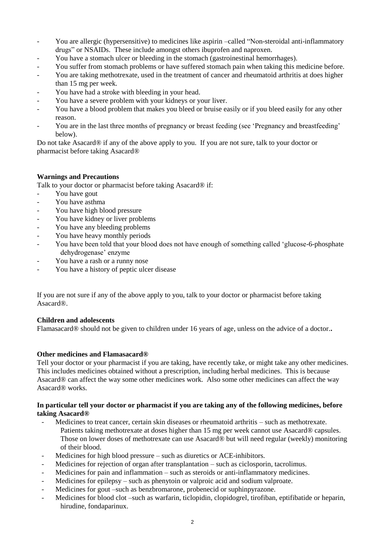- You are allergic (hypersensitive) to medicines like aspirin –called "Non-steroidal anti-inflammatory drugs" or NSAIDs. These include amongst others ibuprofen and naproxen.
- You have a stomach ulcer or bleeding in the stomach (gastroinestinal hemorrhages).
- You suffer from stomach problems or have suffered stomach pain when taking this medicine before.
- You are taking methotrexate, used in the treatment of cancer and rheumatoid arthritis at does higher than 15 mg per week.
- You have had a stroke with bleeding in your head.
- You have a severe problem with your kidneys or your liver.
- You have a blood problem that makes you bleed or bruise easily or if you bleed easily for any other reason.
- You are in the last three months of pregnancy or breast feeding (see 'Pregnancy and breastfeeding' below).

Do not take Asacard® if any of the above apply to you. If you are not sure, talk to your doctor or pharmacist before taking Asacard®

## **Warnings and Precautions**

Talk to your doctor or pharmacist before taking Asacard<sup>®</sup> if:

- You have gout
- You have asthma
- You have high blood pressure
- You have kidney or liver problems
- You have any bleeding problems
- You have heavy monthly periods
- You have been told that your blood does not have enough of something called 'glucose-6-phosphate dehydrogenase' enzyme
- You have a rash or a runny nose
- You have a history of peptic ulcer disease

If you are not sure if any of the above apply to you, talk to your doctor or pharmacist before taking Asacard®.

# **Children and adolescents**

Flamasacard® should not be given to children under 16 years of age, unless on the advice of a doctor.**.**

#### **Other medicines and Flamasacard®**

Tell your doctor or your pharmacist if you are taking, have recently take, or might take any other medicines. This includes medicines obtained without a prescription, including herbal medicines. This is because Asacard® can affect the way some other medicines work. Also some other medicines can affect the way Asacard® works.

## **In particular tell your doctor or pharmacist if you are taking any of the following medicines, before taking Asacard®**

- Medicines to treat cancer, certain skin diseases or rheumatoid arthritis such as methotrexate. Patients taking methotrexate at doses higher than 15 mg per week cannot use Asacard® capsules. Those on lower doses of methotrexate can use Asacard® but will need regular (weekly) monitoring of their blood.
- Medicines for high blood pressure such as diuretics or ACE-inhibitors.
- Medicines for rejection of organ after transplantation such as ciclosporin, tacrolimus.
- Medicines for pain and inflammation such as steroids or anti-inflammatory medicines.
- Medicines for epilepsy such as phenytoin or valproic acid and sodium valproate.
- Medicines for gout –such as benzbromarone, probenecid or suphinpyrazone.
- Medicines for blood clot –such as warfarin, ticlopidin, clopidogrel, tirofiban, eptifibatide or heparin, hirudine, fondaparinux.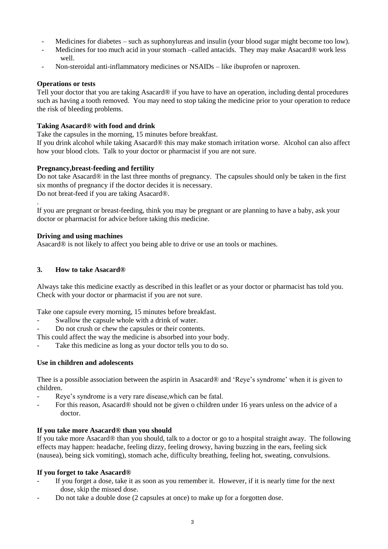- Medicines for diabetes such as suphonylureas and insulin (your blood sugar might become too low).
- Medicines for too much acid in your stomach –called antacids. They may make Asacard® work less well.
- Non-steroidal anti-inflammatory medicines or NSAIDs like ibuprofen or naproxen.

#### **Operations or tests**

Tell your doctor that you are taking Asacard® if you have to have an operation, including dental procedures such as having a tooth removed. You may need to stop taking the medicine prior to your operation to reduce the risk of bleeding problems.

## **Taking Asacard® with food and drink**

Take the capsules in the morning, 15 minutes before breakfast.

If you drink alcohol while taking Asacard® this may make stomach irritation worse. Alcohol can also affect how your blood clots. Talk to your doctor or pharmacist if you are not sure.

## **Pregnancy,breast-feeding and fertility**

Do not take Asacard® in the last three months of pregnancy. The capsules should only be taken in the first six months of pregnancy if the doctor decides it is necessary.

Do not breat-feed if you are taking Asacard®.

If you are pregnant or breast-feeding, think you may be pregnant or are planning to have a baby, ask your doctor or pharmacist for advice before taking this medicine.

## **Driving and using machines**

.

Asacard® is not likely to affect you being able to drive or use an tools or machines.

## **3. How to take Asacard®**

Always take this medicine exactly as described in this leaflet or as your doctor or pharmacist has told you. Check with your doctor or pharmacist if you are not sure.

Take one capsule every morning, 15 minutes before breakfast.

- Swallow the capsule whole with a drink of water.
- Do not crush or chew the capsules or their contents.

This could affect the way the medicine is absorbed into your body.

Take this medicine as long as your doctor tells you to do so.

#### **Use in children and adolescents**

Thee is a possible association between the aspirin in Asacard® and 'Reye's syndrome' when it is given to children.

- Reye's syndrome is a very rare disease,which can be fatal.
- For this reason, Asacard® should not be given o children under 16 years unless on the advice of a doctor.

#### **If you take more Asacard® than you should**

If you take more Asacard® than you should, talk to a doctor or go to a hospital straight away. The following effects may happen: headache, feeling dizzy, feeling drowsy, having buzzing in the ears, feeling sick (nausea), being sick vomiting), stomach ache, difficulty breathing, feeling hot, sweating, convulsions.

#### **If you forget to take Asacard®**

- If you forget a dose, take it as soon as you remember it. However, if it is nearly time for the next dose, skip the missed dose.
- Do not take a double dose (2 capsules at once) to make up for a forgotten dose.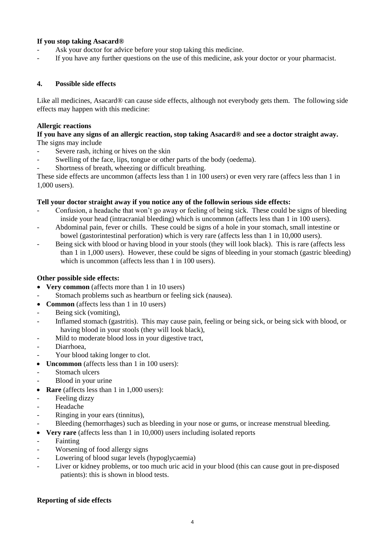## **If you stop taking Asacard®**

- Ask your doctor for advice before your stop taking this medicine.
- If you have any further questions on the use of this medicine, ask your doctor or your pharmacist.

## **4. Possible side effects**

Like all medicines, Asacard<sup>®</sup> can cause side effects, although not everybody gets them. The following side effects may happen with this medicine:

### **Allergic reactions**

**If you have any signs of an allergic reaction, stop taking Asacard® and see a doctor straight away.**  The signs may include

- Severe rash, itching or hives on the skin
- Swelling of the face, lips, tongue or other parts of the body (oedema).
- Shortness of breath, wheezing or difficult breathing.

These side effects are uncommon (affects less than 1 in 100 users) or even very rare (affecs less than 1 in 1,000 users).

## **Tell your doctor straight away if you notice any of the followin serious side effects:**

- Confusion, a headache that won't go away or feeling of being sick. These could be signs of bleeding inside your head (intracranial bleeding) which is uncommon (affects less than 1 in 100 users).
- Abdominal pain, fever or chills. These could be signs of a hole in your stomach, small intestine or bowel (gastorintestinal perforation) which is very rare (affects less than 1 in 10,000 users).
- Being sick with blood or having blood in your stools (they will look black). This is rare (affects less than 1 in 1,000 users). However, these could be signs of bleeding in your stomach (gastric bleeding) which is uncommon (affects less than 1 in 100 users).

## **Other possible side effects:**

- **Very common** (affects more than 1 in 10 users)
- Stomach problems such as heartburn or feeling sick (nausea).
- **Common** (affects less than 1 in 10 users)
- Being sick (vomiting),
- Inflamed stomach (gastritis). This may cause pain, feeling or being sick, or being sick with blood, or having blood in your stools (they will look black),
- Mild to moderate blood loss in your digestive tract,
- Diarrhoea,
- Your blood taking longer to clot.
- **Uncommon** (affects less than 1 in 100 users):
- Stomach ulcers
- Blood in your urine
- **Rare** (affects less than 1 in 1,000 users):
- Feeling dizzy
- Headache
- Ringing in your ears (tinnitus),
- Bleeding (hemorrhages) such as bleeding in your nose or gums, or increase menstrual bleeding.
- **Very rare** (affects less than 1 in 10,000) users including isolated reports
- Fainting
- Worsening of food allergy signs
- Lowering of blood sugar levels (hypoglycaemia)
- Liver or kidney problems, or too much uric acid in your blood (this can cause gout in pre-disposed patients): this is shown in blood tests.

#### **Reporting of side effects**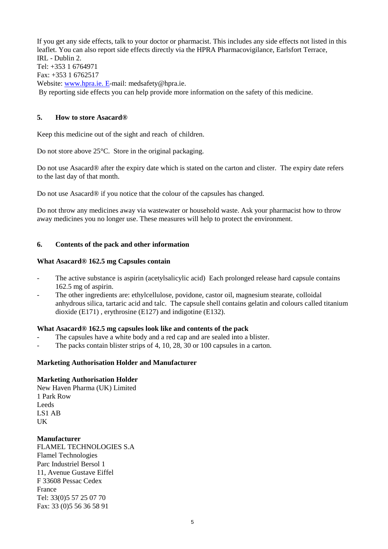If you get any side effects, talk to your doctor or pharmacist. This includes any side effects not listed in this leaflet. You can also report side effects directly via the HPRA Pharmacovigilance, Earlsfort Terrace, IRL - Dublin 2. Tel: +353 1 6764971 Fax: +353 1 6762517 Website: [www.hpra.ie.](http://www.hpra.ie/) E-mail: medsafety@hpra.ie. By reporting side effects you can help provide more information on the safety of this medicine.

## **5. How to store Asacard®**

Keep this medicine out of the sight and reach of children.

Do not store above 25°C. Store in the original packaging.

Do not use Asacard® after the expiry date which is stated on the carton and clister. The expiry date refers to the last day of that month.

Do not use Asacard® if you notice that the colour of the capsules has changed.

Do not throw any medicines away via wastewater or household waste. Ask your pharmacist how to throw away medicines you no longer use. These measures will help to protect the environment.

## **6. Contents of the pack and other information**

#### **What Asacard® 162.5 mg Capsules contain**

- The active substance is aspirin (acetylsalicylic acid) Each prolonged release hard capsule contains 162.5 mg of aspirin.
- The other ingredients are: ethylcellulose, povidone, castor oil, magnesium stearate, colloidal anhydrous silica, tartaric acid and talc. The capsule shell contains gelatin and colours called titanium dioxide (E171) , erythrosine (E127) and indigotine (E132).

#### **What Asacard® 162.5 mg capsules look like and contents of the pack**

- The capsules have a white body and a red cap and are sealed into a blister.
- The packs contain blister strips of 4, 10, 28, 30 or 100 capsules in a carton.

#### **Marketing Authorisation Holder and Manufacturer**

#### **Marketing Authorisation Holder**

New Haven Pharma (UK) Limited 1 Park Row Leeds LS1 AB **UK** 

#### **Manufacturer**

FLAMEL TECHNOLOGIES S.A Flamel Technologies Parc Industriel Bersol 1 11, Avenue Gustave Eiffel F 33608 Pessac Cedex France Tel: 33(0)5 57 25 07 70 Fax: 33 (0)5 56 36 58 91